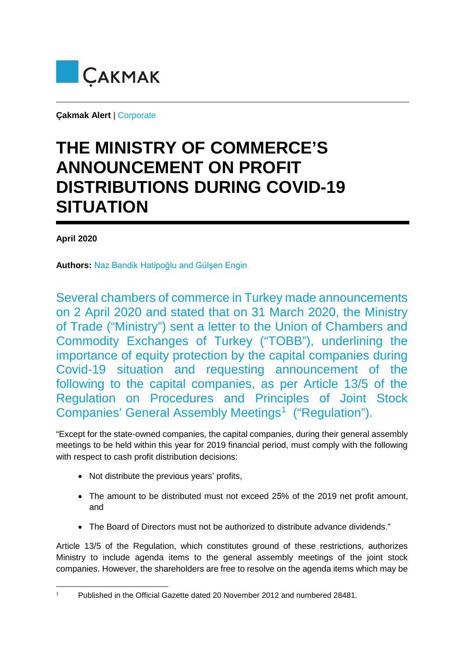

**Çakmak Alert** | Corporate

## **THE MINISTRY OF COMMERCE'S ANNOUNCEMENT ON PROFIT DISTRIBUTIONS DURING COVID-19 SITUATION**

**April 2020**

**Authors:** Naz Bandik Hatipoğlu and Gülşen Engin

Several chambers of commerce in Turkey made announcements on 2 April 2020 and stated that on 31 March 2020, the Ministry of Trade ("Ministry") sent a letter to the Union of Chambers and Commodity Exchanges of Turkey ("TOBB"), underlining the importance of equity protection by the capital companies during Covid-19 situation and requesting announcement of the following to the capital companies, as per Article 13/5 of the Regulation on Procedures and Principles of Joint Stock Companies' General Assembly Meetings<sup>[1](#page-0-0)</sup> ("Regulation").

"Except for the state-owned companies, the capital companies, during their general assembly meetings to be held within this year for 2019 financial period, must comply with the following with respect to cash profit distribution decisions:

- Not distribute the previous years' profits,
- The amount to be distributed must not exceed 25% of the 2019 net profit amount, and
- The Board of Directors must not be authorized to distribute advance dividends."

Article 13/5 of the Regulation, which constitutes ground of these restrictions, authorizes Ministry to include agenda items to the general assembly meetings of the joint stock companies. However, the shareholders are free to resolve on the agenda items which may be

<span id="page-0-0"></span><sup>&</sup>lt;sup>1</sup> Published in the Official Gazette dated 20 November 2012 and numbered 28481.